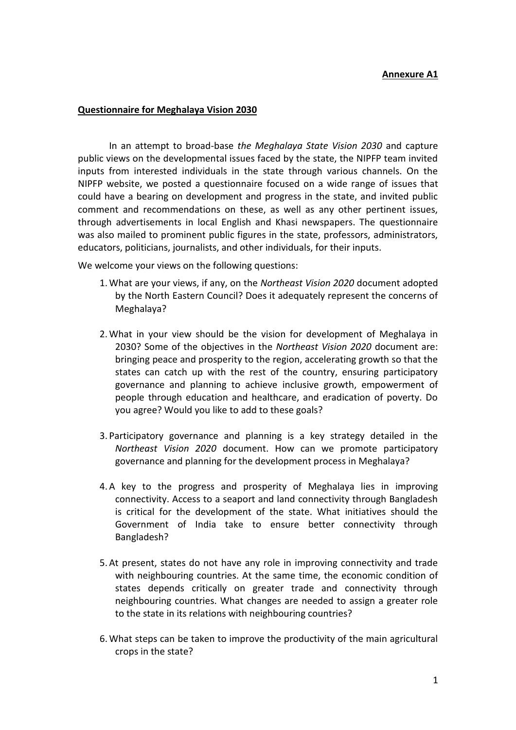## **Annexure A1**

## **Questionnaire for Meghalaya Vision 2030**

In an attempt to broad-base *the Meghalaya State Vision 2030* and capture public views on the developmental issues faced by the state, the NIPFP team invited inputs from interested individuals in the state through various channels. On the NIPFP website, we posted a questionnaire focused on a wide range of issues that could have a bearing on development and progress in the state, and invited public comment and recommendations on these, as well as any other pertinent issues, through advertisements in local English and Khasi newspapers. The questionnaire was also mailed to prominent public figures in the state, professors, administrators, educators, politicians, journalists, and other individuals, for their inputs.

We welcome your views on the following questions:

- 1.What are your views, if any, on the *Northeast Vision 2020* document adopted by the North Eastern Council? Does it adequately represent the concerns of Meghalaya?
- 2.What in your view should be the vision for development of Meghalaya in 2030? Some of the objectives in the *Northeast Vision 2020* document are: bringing peace and prosperity to the region, accelerating growth so that the states can catch up with the rest of the country, ensuring participatory governance and planning to achieve inclusive growth, empowerment of people through education and healthcare, and eradication of poverty. Do you agree? Would you like to add to these goals?
- 3. Participatory governance and planning is a key strategy detailed in the *Northeast Vision 2020* document. How can we promote participatory governance and planning for the development process in Meghalaya?
- 4. A key to the progress and prosperity of Meghalaya lies in improving connectivity. Access to a seaport and land connectivity through Bangladesh is critical for the development of the state. What initiatives should the Government of India take to ensure better connectivity through Bangladesh?
- 5. At present, states do not have any role in improving connectivity and trade with neighbouring countries. At the same time, the economic condition of states depends critically on greater trade and connectivity through neighbouring countries. What changes are needed to assign a greater role to the state in its relations with neighbouring countries?
- 6.What steps can be taken to improve the productivity of the main agricultural crops in the state?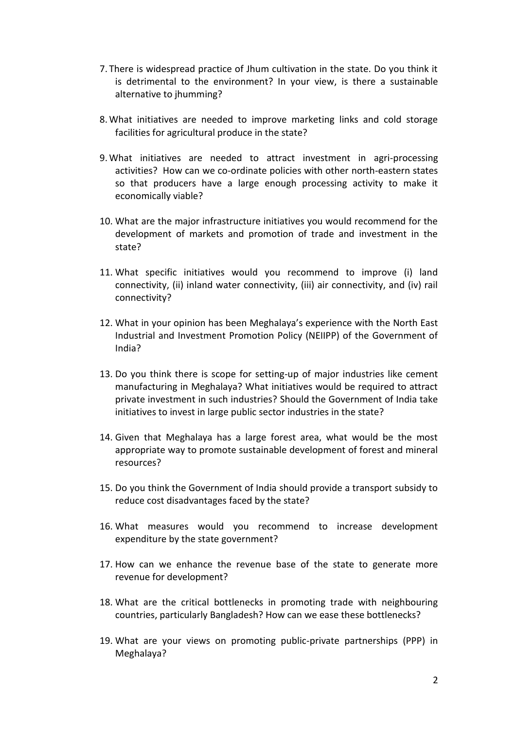- 7. There is widespread practice of Jhum cultivation in the state. Do you think it is detrimental to the environment? In your view, is there a sustainable alternative to ihumming?
- 8.What initiatives are needed to improve marketing links and cold storage facilities for agricultural produce in the state?
- 9.What initiatives are needed to attract investment in agri-processing activities? How can we co-ordinate policies with other north-eastern states so that producers have a large enough processing activity to make it economically viable?
- 10. What are the major infrastructure initiatives you would recommend for the development of markets and promotion of trade and investment in the state?
- 11. What specific initiatives would you recommend to improve (i) land connectivity, (ii) inland water connectivity, (iii) air connectivity, and (iv) rail connectivity?
- 12. What in your opinion has been Meghalaya's experience with the North East Industrial and Investment Promotion Policy (NEIIPP) of the Government of India?
- 13. Do you think there is scope for setting-up of major industries like cement manufacturing in Meghalaya? What initiatives would be required to attract private investment in such industries? Should the Government of India take initiatives to invest in large public sector industries in the state?
- 14. Given that Meghalaya has a large forest area, what would be the most appropriate way to promote sustainable development of forest and mineral resources?
- 15. Do you think the Government of India should provide a transport subsidy to reduce cost disadvantages faced by the state?
- 16. What measures would you recommend to increase development expenditure by the state government?
- 17. How can we enhance the revenue base of the state to generate more revenue for development?
- 18. What are the critical bottlenecks in promoting trade with neighbouring countries, particularly Bangladesh? How can we ease these bottlenecks?
- 19. What are your views on promoting public-private partnerships (PPP) in Meghalaya?